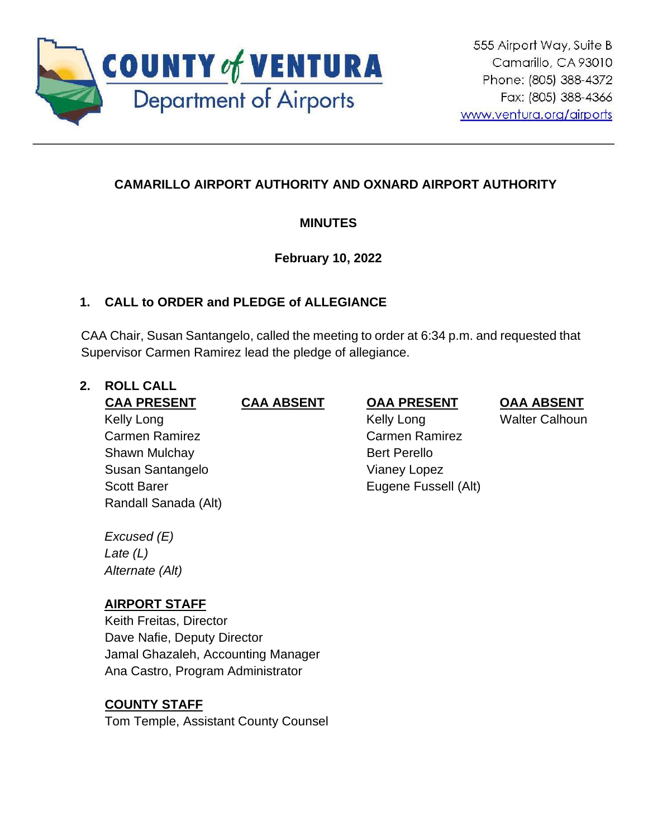

# **CAMARILLO AIRPORT AUTHORITY AND OXNARD AIRPORT AUTHORITY**

# **MINUTES**

# **February 10, 2022**

# **1. CALL to ORDER and PLEDGE of ALLEGIANCE**

CAA Chair, Susan Santangelo, called the meeting to order at 6:34 p.m. and requested that Supervisor Carmen Ramirez lead the pledge of allegiance.

## **2. ROLL CALL**

**CAA PRESENT CAA ABSENT OAA PRESENT OAA ABSENT** Kelly Long Carmen Ramirez Shawn Mulchay Susan Santangelo Scott Barer Randall Sanada (Alt)

Kelly Long

Carmen Ramirez

Eugene Fussell (Alt)

Bert Perello Vianey Lopez Walter Calhoun

*Excused (E) Late (L)*

*Alternate (Alt)*

# **AIRPORT STAFF**

Keith Freitas, Director Dave Nafie, Deputy Director Jamal Ghazaleh, Accounting Manager Ana Castro, Program Administrator

# **COUNTY STAFF**

Tom Temple, Assistant County Counsel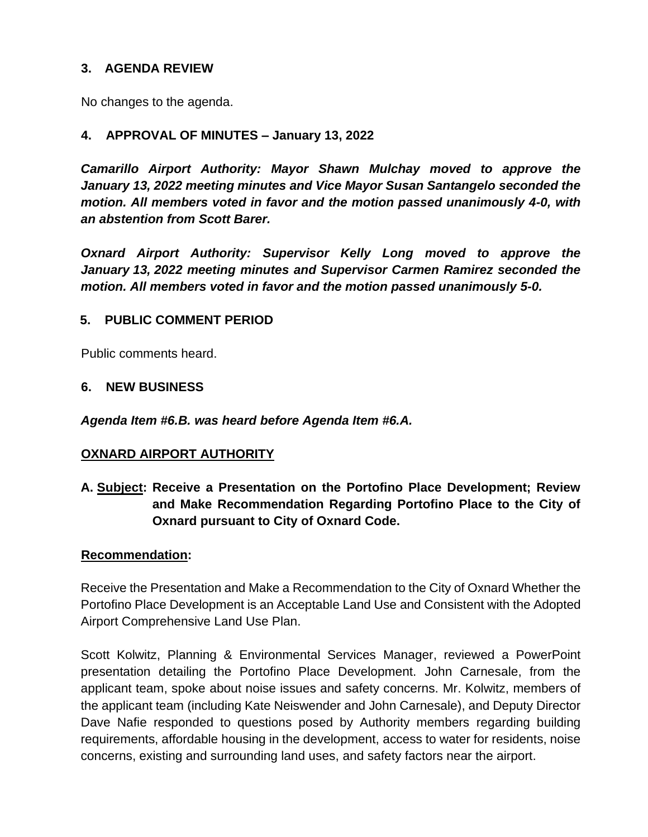## **3. AGENDA REVIEW**

No changes to the agenda.

## **4. APPROVAL OF MINUTES – January 13, 2022**

*Camarillo Airport Authority: Mayor Shawn Mulchay moved to approve the January 13, 2022 meeting minutes and Vice Mayor Susan Santangelo seconded the motion. All members voted in favor and the motion passed unanimously 4-0, with an abstention from Scott Barer.* 

*Oxnard Airport Authority: Supervisor Kelly Long moved to approve the January 13, 2022 meeting minutes and Supervisor Carmen Ramirez seconded the motion. All members voted in favor and the motion passed unanimously 5-0.*

## **5. PUBLIC COMMENT PERIOD**

Public comments heard.

### **6. NEW BUSINESS**

*Agenda Item #6.B. was heard before Agenda Item #6.A.* 

### **OXNARD AIRPORT AUTHORITY**

**A. Subject: Receive a Presentation on the Portofino Place Development; Review and Make Recommendation Regarding Portofino Place to the City of Oxnard pursuant to City of Oxnard Code.**

### **Recommendation:**

Receive the Presentation and Make a Recommendation to the City of Oxnard Whether the Portofino Place Development is an Acceptable Land Use and Consistent with the Adopted Airport Comprehensive Land Use Plan.

Scott Kolwitz, Planning & Environmental Services Manager, reviewed a PowerPoint presentation detailing the Portofino Place Development. John Carnesale, from the applicant team, spoke about noise issues and safety concerns. Mr. Kolwitz, members of the applicant team (including Kate Neiswender and John Carnesale), and Deputy Director Dave Nafie responded to questions posed by Authority members regarding building requirements, affordable housing in the development, access to water for residents, noise concerns, existing and surrounding land uses, and safety factors near the airport.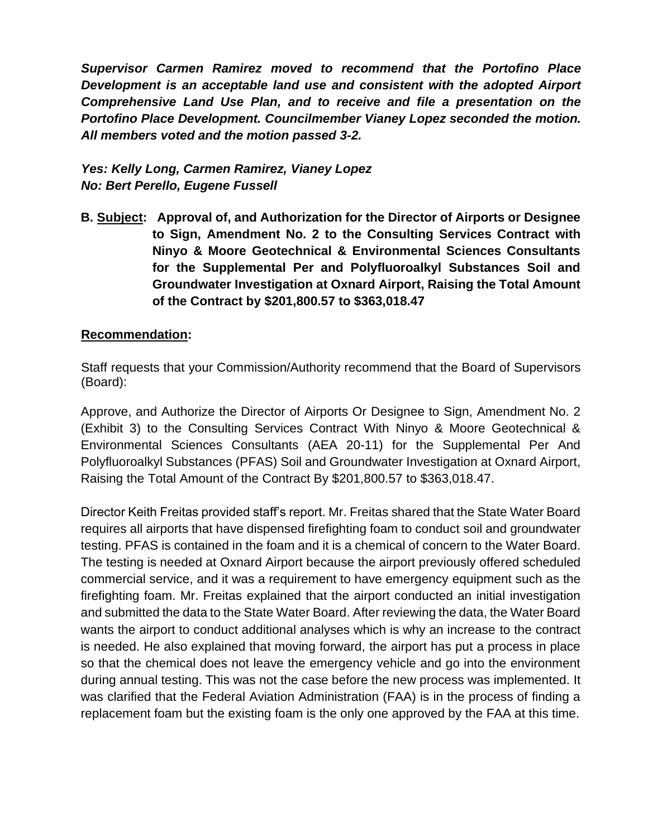*Supervisor Carmen Ramirez moved to recommend that the Portofino Place Development is an acceptable land use and consistent with the adopted Airport Comprehensive Land Use Plan, and to receive and file a presentation on the Portofino Place Development. Councilmember Vianey Lopez seconded the motion. All members voted and the motion passed 3-2.*

# *Yes: Kelly Long, Carmen Ramirez, Vianey Lopez No: Bert Perello, Eugene Fussell*

**B. Subject: Approval of, and Authorization for the Director of Airports or Designee to Sign, Amendment No. 2 to the Consulting Services Contract with Ninyo & Moore Geotechnical & Environmental Sciences Consultants for the Supplemental Per and Polyfluoroalkyl Substances Soil and Groundwater Investigation at Oxnard Airport, Raising the Total Amount of the Contract by \$201,800.57 to \$363,018.47**

### **Recommendation:**

Staff requests that your Commission/Authority recommend that the Board of Supervisors (Board):

Approve, and Authorize the Director of Airports Or Designee to Sign, Amendment No. 2 (Exhibit 3) to the Consulting Services Contract With Ninyo & Moore Geotechnical & Environmental Sciences Consultants (AEA 20-11) for the Supplemental Per And Polyfluoroalkyl Substances (PFAS) Soil and Groundwater Investigation at Oxnard Airport, Raising the Total Amount of the Contract By \$201,800.57 to \$363,018.47.

Director Keith Freitas provided staff's report. Mr. Freitas shared that the State Water Board requires all airports that have dispensed firefighting foam to conduct soil and groundwater testing. PFAS is contained in the foam and it is a chemical of concern to the Water Board. The testing is needed at Oxnard Airport because the airport previously offered scheduled commercial service, and it was a requirement to have emergency equipment such as the firefighting foam. Mr. Freitas explained that the airport conducted an initial investigation and submitted the data to the State Water Board. After reviewing the data, the Water Board wants the airport to conduct additional analyses which is why an increase to the contract is needed. He also explained that moving forward, the airport has put a process in place so that the chemical does not leave the emergency vehicle and go into the environment during annual testing. This was not the case before the new process was implemented. It was clarified that the Federal Aviation Administration (FAA) is in the process of finding a replacement foam but the existing foam is the only one approved by the FAA at this time.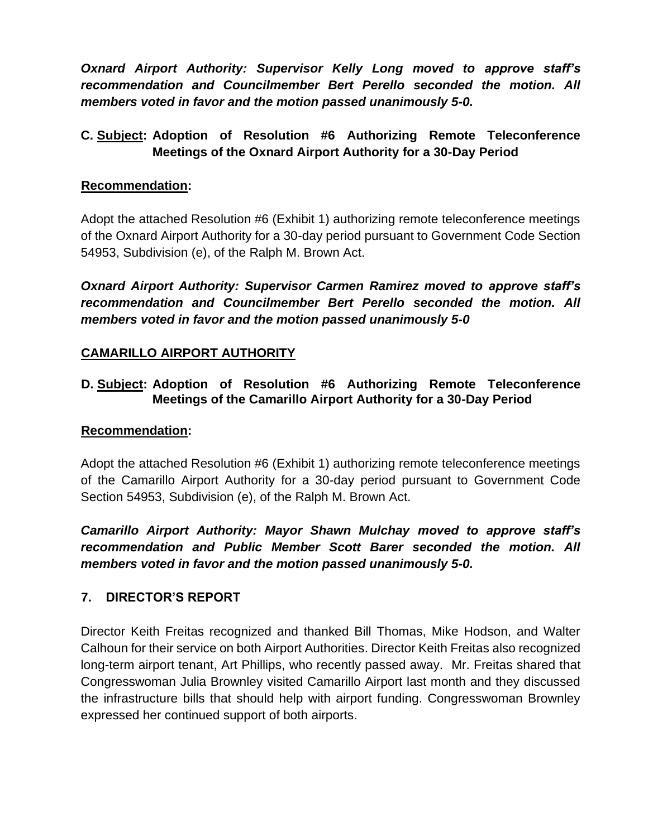*Oxnard Airport Authority: Supervisor Kelly Long moved to approve staff's recommendation and Councilmember Bert Perello seconded the motion. All members voted in favor and the motion passed unanimously 5-0.*

# **C. Subject: Adoption of Resolution #6 Authorizing Remote Teleconference Meetings of the Oxnard Airport Authority for a 30-Day Period**

## **Recommendation:**

Adopt the attached Resolution #6 (Exhibit 1) authorizing remote teleconference meetings of the Oxnard Airport Authority for a 30-day period pursuant to Government Code Section 54953, Subdivision (e), of the Ralph M. Brown Act.

*Oxnard Airport Authority: Supervisor Carmen Ramirez moved to approve staff's recommendation and Councilmember Bert Perello seconded the motion. All members voted in favor and the motion passed unanimously 5-0*

# **CAMARILLO AIRPORT AUTHORITY**

## **D. Subject: Adoption of Resolution #6 Authorizing Remote Teleconference Meetings of the Camarillo Airport Authority for a 30-Day Period**

### **Recommendation:**

Adopt the attached Resolution #6 (Exhibit 1) authorizing remote teleconference meetings of the Camarillo Airport Authority for a 30-day period pursuant to Government Code Section 54953, Subdivision (e), of the Ralph M. Brown Act.

*Camarillo Airport Authority: Mayor Shawn Mulchay moved to approve staff's recommendation and Public Member Scott Barer seconded the motion. All members voted in favor and the motion passed unanimously 5-0.*

## **7. DIRECTOR'S REPORT**

Director Keith Freitas recognized and thanked Bill Thomas, Mike Hodson, and Walter Calhoun for their service on both Airport Authorities. Director Keith Freitas also recognized long-term airport tenant, Art Phillips, who recently passed away. Mr. Freitas shared that Congresswoman Julia Brownley visited Camarillo Airport last month and they discussed the infrastructure bills that should help with airport funding. Congresswoman Brownley expressed her continued support of both airports.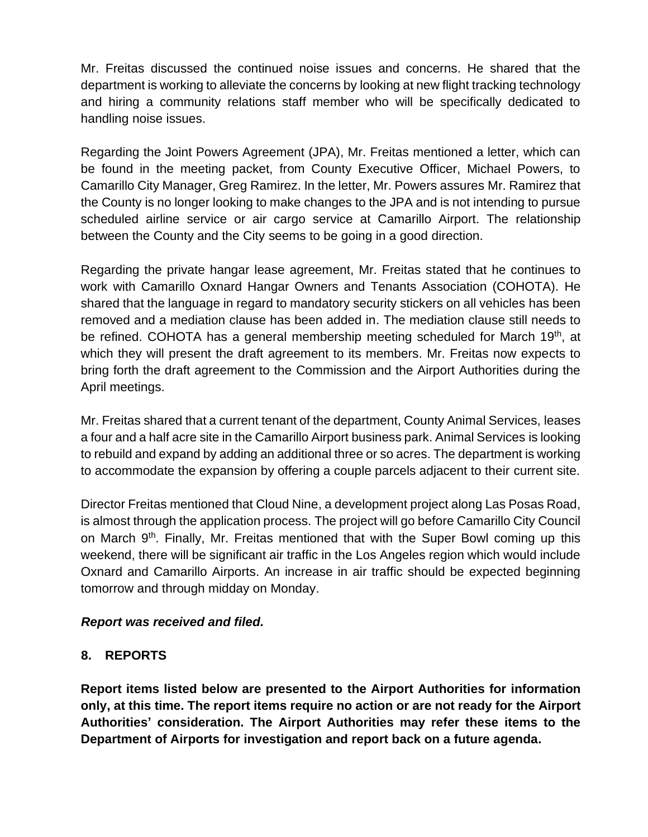Mr. Freitas discussed the continued noise issues and concerns. He shared that the department is working to alleviate the concerns by looking at new flight tracking technology and hiring a community relations staff member who will be specifically dedicated to handling noise issues.

Regarding the Joint Powers Agreement (JPA), Mr. Freitas mentioned a letter, which can be found in the meeting packet, from County Executive Officer, Michael Powers, to Camarillo City Manager, Greg Ramirez. In the letter, Mr. Powers assures Mr. Ramirez that the County is no longer looking to make changes to the JPA and is not intending to pursue scheduled airline service or air cargo service at Camarillo Airport. The relationship between the County and the City seems to be going in a good direction.

Regarding the private hangar lease agreement, Mr. Freitas stated that he continues to work with Camarillo Oxnard Hangar Owners and Tenants Association (COHOTA). He shared that the language in regard to mandatory security stickers on all vehicles has been removed and a mediation clause has been added in. The mediation clause still needs to be refined. COHOTA has a general membership meeting scheduled for March 19<sup>th</sup>, at which they will present the draft agreement to its members. Mr. Freitas now expects to bring forth the draft agreement to the Commission and the Airport Authorities during the April meetings.

Mr. Freitas shared that a current tenant of the department, County Animal Services, leases a four and a half acre site in the Camarillo Airport business park. Animal Services is looking to rebuild and expand by adding an additional three or so acres. The department is working to accommodate the expansion by offering a couple parcels adjacent to their current site.

Director Freitas mentioned that Cloud Nine, a development project along Las Posas Road, is almost through the application process. The project will go before Camarillo City Council on March 9<sup>th</sup>. Finally, Mr. Freitas mentioned that with the Super Bowl coming up this weekend, there will be significant air traffic in the Los Angeles region which would include Oxnard and Camarillo Airports. An increase in air traffic should be expected beginning tomorrow and through midday on Monday.

### *Report was received and filed.*

### **8. REPORTS**

**Report items listed below are presented to the Airport Authorities for information only, at this time. The report items require no action or are not ready for the Airport Authorities' consideration. The Airport Authorities may refer these items to the Department of Airports for investigation and report back on a future agenda.**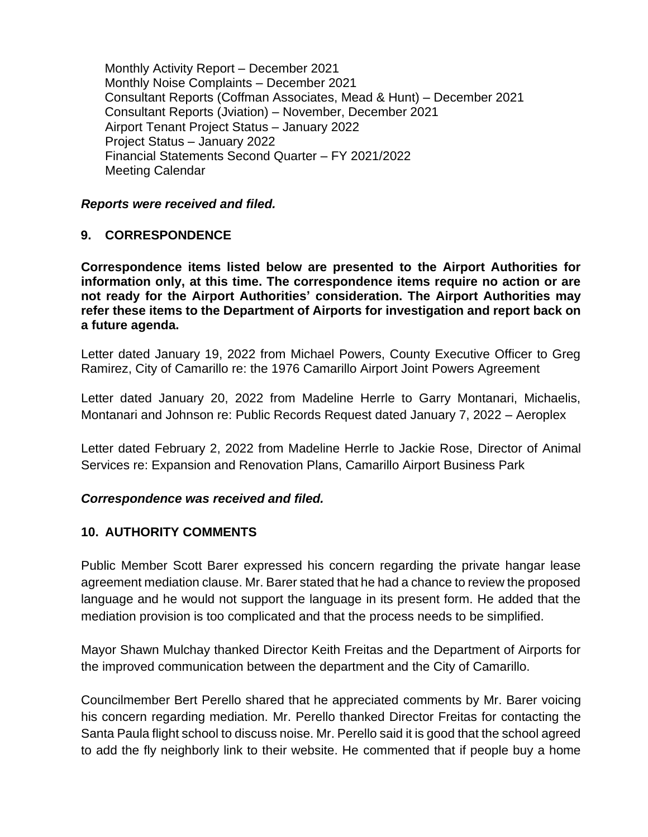Monthly Activity Report – December 2021 Monthly Noise Complaints – December 2021 Consultant Reports (Coffman Associates, Mead & Hunt) – December 2021 Consultant Reports (Jviation) – November, December 2021 Airport Tenant Project Status – January 2022 Project Status – January 2022 Financial Statements Second Quarter – FY 2021/2022 Meeting Calendar

#### *Reports were received and filed.*

### **9. CORRESPONDENCE**

**Correspondence items listed below are presented to the Airport Authorities for information only, at this time. The correspondence items require no action or are not ready for the Airport Authorities' consideration. The Airport Authorities may refer these items to the Department of Airports for investigation and report back on a future agenda.** 

Letter dated January 19, 2022 from Michael Powers, County Executive Officer to Greg Ramirez, City of Camarillo re: the 1976 Camarillo Airport Joint Powers Agreement

Letter dated January 20, 2022 from Madeline Herrle to Garry Montanari, Michaelis, Montanari and Johnson re: Public Records Request dated January 7, 2022 – Aeroplex

Letter dated February 2, 2022 from Madeline Herrle to Jackie Rose, Director of Animal Services re: Expansion and Renovation Plans, Camarillo Airport Business Park

### *Correspondence was received and filed.*

### **10. AUTHORITY COMMENTS**

Public Member Scott Barer expressed his concern regarding the private hangar lease agreement mediation clause. Mr. Barer stated that he had a chance to review the proposed language and he would not support the language in its present form. He added that the mediation provision is too complicated and that the process needs to be simplified.

Mayor Shawn Mulchay thanked Director Keith Freitas and the Department of Airports for the improved communication between the department and the City of Camarillo.

Councilmember Bert Perello shared that he appreciated comments by Mr. Barer voicing his concern regarding mediation. Mr. Perello thanked Director Freitas for contacting the Santa Paula flight school to discuss noise. Mr. Perello said it is good that the school agreed to add the fly neighborly link to their website. He commented that if people buy a home